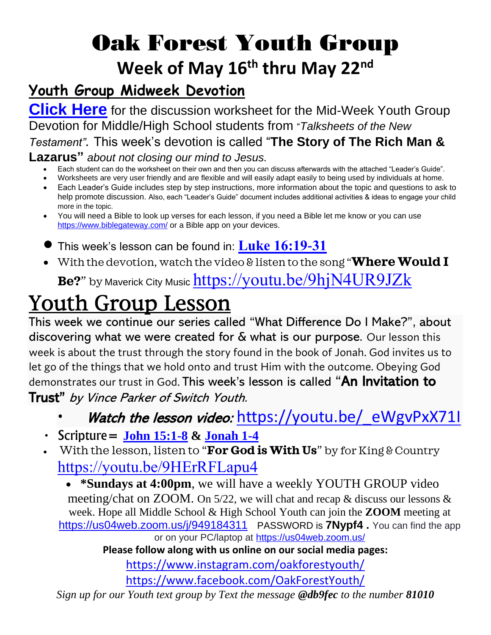# Oak Forest Youth Group **Week of May 16th thru May 22nd**

### **Youth Group Midweek Devotion**

**[Click Here](file:///C:/Users/Ben.Roop/OneDrive%20-%20Oak%20Forest%20United%20Methodist%20Church/Documents/Rich%20Man%20and%20%20Lazarus%20worksheet.pdf)** for the discussion worksheet for the Mid-Week Youth Group Devotion for Middle/High School students from "*Talksheets of the New Testament".* This week's devotion is called "**The Story of The Rich Man & Lazarus"** *about not closing our mind to Jesus.*

- Each student can do the worksheet on their own and then you can discuss afterwards with the attached "Leader's Guide".
- Worksheets are very user friendly and are flexible and will easily adapt easily to being used by individuals at home.
- Each Leader's Guide includes step by step instructions, more information about the topic and questions to ask to help promote discussion. Also, each "Leader's Guide" document includes additional activities & ideas to engage your child more in the topic.
- You will need a Bible to look up verses for each lesson, if you need a Bible let me know or you can use <https://www.biblegateway.com/> or a Bible app on your devices.
- This week's lesson can be found in: **[Luke 16:19-31](https://www.biblegateway.com/passage/?search=luke+16%3A19-31&version=ICB)**
- With the devotion, watch the video & listen to the song "**Where Would I**

**Be?**" by Maverick City Music <https://youtu.be/9hjN4UR9JZk>

## Youth Group Lesson

This week we continue our series called "What Difference Do I Make?", about discovering what we were created for & what is our purpose. Our lesson this week is about the trust through the story found in the book of Jonah. God invites us to let go of the things that we hold onto and trust Him with the outcome. Obeying God demonstrates our trust in God. This week's lesson is called "An Invitation to Trust" by Vince Parker of Switch Youth.

#### Watch the lesson video: https://youtu.be/ eWgvPxX71I

- Scripture= **[John 15:1-8](https://www.biblegateway.com/passage/?search=john+15%3A1-8&version=ICB) & [Jonah 1-4](https://www.biblegateway.com/passage/?search=Jonah+1-4&version=ICB)**
- With the lesson, listen to "**For God is With Us**" by for King & Country <https://youtu.be/9HErRFLapu4>

• **\*Sundays at 4:00pm**, we will have a weekly YOUTH GROUP video meeting/chat on ZOOM. On 5/22, we will chat and recap & discuss our lessons & week. Hope all Middle School & High School Youth can join the **ZOOM** meeting at <https://us04web.zoom.us/j/949184311> PASSWORD is **7Nypf4 .** *You can find the app* 

*or on your PC/laptop at<https://us04web.zoom.us/>*

**Please follow along with us online on our social media pages:**

<https://www.instagram.com/oakforestyouth/>

<https://www.facebook.com/OakForestYouth/>

*Sign up for our Youth text group by Text the message @db9fec to the number 81010*